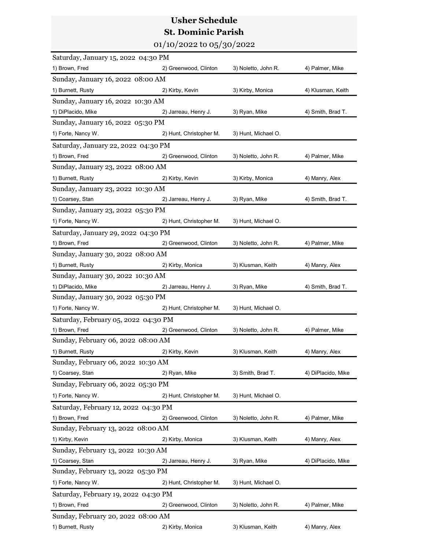## Usher Schedule St. Dominic Parish

|                                      | <b>Usher Schedule</b>        |                     |                    |
|--------------------------------------|------------------------------|---------------------|--------------------|
|                                      | <b>St. Dominic Parish</b>    |                     |                    |
|                                      | $01/10/2022$ to $05/30/2022$ |                     |                    |
| Saturday, January 15, 2022 04:30 PM  |                              |                     |                    |
| 1) Brown, Fred                       | 2) Greenwood, Clinton        | 3) Noletto, John R. | 4) Palmer, Mike    |
| Sunday, January 16, 2022 08:00 AM    |                              |                     |                    |
| 1) Burnett, Rusty                    | 2) Kirby, Kevin              | 3) Kirby, Monica    | 4) Klusman, Keith  |
| Sunday, January 16, 2022 10:30 AM    |                              |                     |                    |
| 1) DiPlacido, Mike                   | 2) Jarreau, Henry J.         | 3) Ryan, Mike       | 4) Smith, Brad T.  |
| Sunday, January 16, 2022 05:30 PM    |                              |                     |                    |
| 1) Forte, Nancy W.                   | 2) Hunt, Christopher M.      | 3) Hunt, Michael O. |                    |
| Saturday, January 22, 2022 04:30 PM  |                              |                     |                    |
| 1) Brown, Fred                       | 2) Greenwood, Clinton        | 3) Noletto, John R. | 4) Palmer, Mike    |
| Sunday, January 23, 2022 08:00 AM    |                              |                     |                    |
| 1) Burnett, Rusty                    | 2) Kirby, Kevin              | 3) Kirby, Monica    | 4) Manry, Alex     |
| Sunday, January 23, 2022 10:30 AM    |                              |                     |                    |
| 1) Coarsey, Stan                     | 2) Jarreau, Henry J.         | 3) Ryan, Mike       | 4) Smith, Brad T.  |
| Sunday, January 23, 2022 05:30 PM    |                              |                     |                    |
| 1) Forte, Nancy W.                   | 2) Hunt, Christopher M.      | 3) Hunt, Michael O. |                    |
| Saturday, January 29, 2022 04:30 PM  |                              |                     |                    |
| 1) Brown, Fred                       | 2) Greenwood, Clinton        | 3) Noletto, John R. | 4) Palmer, Mike    |
| Sunday, January 30, 2022 08:00 AM    |                              |                     |                    |
| 1) Burnett, Rusty                    | 2) Kirby, Monica             | 3) Klusman, Keith   | 4) Manry, Alex     |
| Sunday, January 30, 2022 10:30 AM    |                              |                     |                    |
| 1) DiPlacido, Mike                   | 2) Jarreau, Henry J.         | 3) Ryan, Mike       | 4) Smith, Brad T.  |
| Sunday, January 30, 2022 05:30 PM    |                              |                     |                    |
| 1) Forte, Nancy W.                   | 2) Hunt, Christopher M.      | 3) Hunt, Michael O. |                    |
| Saturday, February 05, 2022 04:30 PM |                              |                     |                    |
| 1) Brown, Fred                       | 2) Greenwood, Clinton        | 3) Noletto, John R. | 4) Palmer, Mike    |
| Sunday, February 06, 2022 08:00 AM   |                              |                     |                    |
| 1) Burnett, Rusty                    | 2) Kirby, Kevin              | 3) Klusman, Keith   | 4) Manry, Alex     |
| Sunday, February 06, 2022 10:30 AM   |                              |                     |                    |
| 1) Coarsey, Stan                     | 2) Ryan, Mike                | 3) Smith, Brad T.   | 4) DiPlacido, Mike |
| Sunday, February 06, 2022 05:30 PM   |                              |                     |                    |
| 1) Forte, Nancy W.                   | 2) Hunt, Christopher M.      | 3) Hunt, Michael O. |                    |
| Saturday, February 12, 2022 04:30 PM |                              |                     |                    |
| 1) Brown, Fred                       | 2) Greenwood, Clinton        | 3) Noletto, John R. | 4) Palmer, Mike    |
| Sunday, February 13, 2022 08:00 AM   |                              |                     |                    |
| 1) Kirby, Kevin                      | 2) Kirby, Monica             | 3) Klusman, Keith   | 4) Manry, Alex     |
| Sunday, February 13, 2022 10:30 AM   |                              |                     |                    |
| 1) Coarsey, Stan                     | 2) Jarreau, Henry J.         | 3) Ryan, Mike       | 4) DiPlacido, Mike |
| Sunday, February 13, 2022 05:30 PM   |                              |                     |                    |
| 1) Forte, Nancy W.                   | 2) Hunt, Christopher M.      | 3) Hunt, Michael O. |                    |
| Saturday, February 19, 2022 04:30 PM |                              |                     |                    |
| 1) Brown, Fred                       | 2) Greenwood, Clinton        | 3) Noletto, John R. | 4) Palmer, Mike    |
| Sunday, February 20, 2022 08:00 AM   |                              |                     |                    |
| 1) Burnett, Rusty                    | 2) Kirby, Monica             | 3) Klusman, Keith   | 4) Manry, Alex     |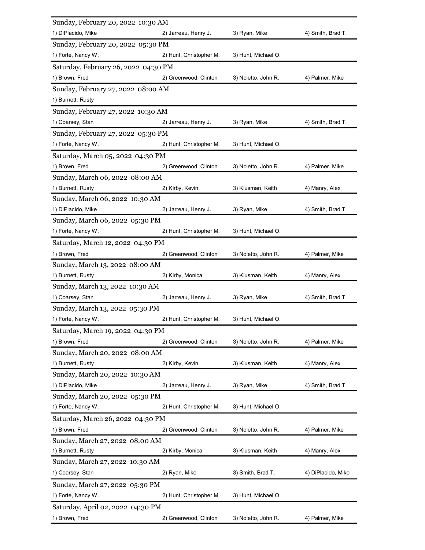| Sunday, February 20, 2022 10:30 AM<br>1) DiPlacido, Mike | 2) Jarreau, Henry J.    | 3) Ryan, Mike       | 4) Smith, Brad T.  |
|----------------------------------------------------------|-------------------------|---------------------|--------------------|
| Sunday, February 20, 2022 05:30 PM                       |                         |                     |                    |
| 1) Forte, Nancy W.                                       | 2) Hunt, Christopher M. | 3) Hunt, Michael O. |                    |
|                                                          |                         |                     |                    |
| Saturday, February 26, 2022 04:30 PM                     |                         |                     |                    |
| 1) Brown, Fred                                           | 2) Greenwood, Clinton   | 3) Noletto, John R. | 4) Palmer, Mike    |
| Sunday, February 27, 2022 08:00 AM                       |                         |                     |                    |
| 1) Burnett, Rusty                                        |                         |                     |                    |
| Sunday, February 27, 2022 10:30 AM                       |                         |                     |                    |
| 1) Coarsey, Stan                                         | 2) Jarreau, Henry J.    | 3) Ryan, Mike       | 4) Smith, Brad T.  |
| Sunday, February 27, 2022 05:30 PM<br>1) Forte, Nancy W. | 2) Hunt, Christopher M. | 3) Hunt, Michael O. |                    |
|                                                          |                         |                     |                    |
| Saturday, March 05, 2022 04:30 PM<br>1) Brown, Fred      |                         | 3) Noletto, John R. |                    |
| Sunday, March 06, 2022 08:00 AM                          | 2) Greenwood, Clinton   |                     | 4) Palmer, Mike    |
| 1) Burnett, Rusty                                        | 2) Kirby, Kevin         | 3) Klusman, Keith   | 4) Manry, Alex     |
| Sunday, March 06, 2022 10:30 AM                          |                         |                     |                    |
| 1) DiPlacido, Mike                                       | 2) Jarreau, Henry J.    | 3) Ryan, Mike       | 4) Smith, Brad T.  |
| Sunday, March 06, 2022 05:30 PM                          |                         |                     |                    |
| 1) Forte, Nancy W.                                       | 2) Hunt, Christopher M. | 3) Hunt, Michael O. |                    |
| Saturday, March 12, 2022 04:30 PM                        |                         |                     |                    |
| 1) Brown, Fred                                           | 2) Greenwood, Clinton   | 3) Noletto, John R. | 4) Palmer, Mike    |
| Sunday, March 13, 2022 08:00 AM                          |                         |                     |                    |
| 1) Burnett, Rusty                                        | 2) Kirby, Monica        | 3) Klusman, Keith   | 4) Manry, Alex     |
| Sunday, March 13, 2022 10:30 AM                          |                         |                     |                    |
| 1) Coarsey, Stan                                         | 2) Jarreau, Henry J.    | 3) Ryan, Mike       | 4) Smith, Brad T.  |
| Sunday, March 13, 2022 05:30 PM                          |                         |                     |                    |
| 1) Forte, Nancy W.                                       | 2) Hunt, Christopher M. | 3) Hunt, Michael O. |                    |
| Saturday, March 19, 2022 04:30 PM                        |                         |                     |                    |
| 1) Brown, Fred                                           | 2) Greenwood, Clinton   | 3) Noletto, John R. | 4) Palmer, Mike    |
| Sunday, March 20, 2022 08:00 AM                          |                         |                     |                    |
| 1) Burnett, Rusty                                        | 2) Kirby, Kevin         | 3) Klusman, Keith   | 4) Manry, Alex     |
| Sunday, March 20, 2022 10:30 AM                          |                         |                     |                    |
| 1) DiPlacido, Mike                                       | 2) Jarreau, Henry J.    | 3) Ryan, Mike       | 4) Smith, Brad T.  |
| Sunday, March 20, 2022 05:30 PM                          |                         |                     |                    |
| 1) Forte, Nancy W.                                       | 2) Hunt, Christopher M. | 3) Hunt, Michael O. |                    |
| Saturday, March 26, 2022 04:30 PM                        |                         |                     |                    |
| 1) Brown, Fred                                           | 2) Greenwood, Clinton   | 3) Noletto, John R. | 4) Palmer, Mike    |
| Sunday, March 27, 2022 08:00 AM                          |                         |                     |                    |
| 1) Burnett, Rusty                                        | 2) Kirby, Monica        | 3) Klusman, Keith   | 4) Manry, Alex     |
| Sunday, March 27, 2022 10:30 AM                          |                         |                     |                    |
| 1) Coarsey, Stan                                         | 2) Ryan, Mike           | 3) Smith, Brad T.   | 4) DiPlacido, Mike |
| Sunday, March 27, 2022 05:30 PM                          |                         |                     |                    |
| 1) Forte, Nancy W.                                       | 2) Hunt, Christopher M. | 3) Hunt, Michael O. |                    |
| Saturday, April 02, 2022 04:30 PM                        |                         |                     |                    |
| 1) Brown, Fred                                           | 2) Greenwood, Clinton   | 3) Noletto, John R. | 4) Palmer, Mike    |
|                                                          |                         |                     |                    |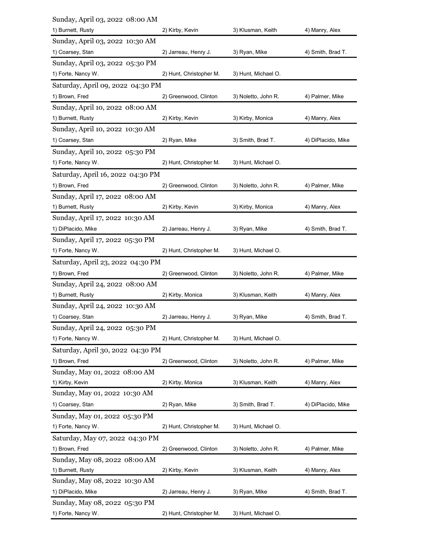| Sunday, April 03, 2022 08:00 AM                       |                         |                     |                    |
|-------------------------------------------------------|-------------------------|---------------------|--------------------|
| 1) Burnett, Rusty                                     | 2) Kirby, Kevin         | 3) Klusman, Keith   | 4) Manry, Alex     |
| Sunday, April 03, 2022 10:30 AM                       |                         |                     |                    |
| 1) Coarsey, Stan<br>Sunday, April 03, 2022 05:30 PM   | 2) Jarreau, Henry J.    | 3) Ryan, Mike       | 4) Smith, Brad T.  |
| 1) Forte, Nancy W.                                    | 2) Hunt, Christopher M. | 3) Hunt, Michael O. |                    |
| Saturday, April 09, 2022 04:30 PM                     |                         |                     |                    |
| 1) Brown, Fred                                        | 2) Greenwood, Clinton   | 3) Noletto, John R. | 4) Palmer, Mike    |
| Sunday, April 10, 2022 08:00 AM                       |                         |                     |                    |
| 1) Burnett, Rusty                                     | 2) Kirby, Kevin         | 3) Kirby, Monica    | 4) Manry, Alex     |
| Sunday, April 10, 2022 10:30 AM                       |                         |                     |                    |
| 1) Coarsey, Stan                                      | 2) Ryan, Mike           | 3) Smith, Brad T.   | 4) DiPlacido, Mike |
| Sunday, April 10, 2022 05:30 PM                       |                         |                     |                    |
| 1) Forte, Nancy W.                                    | 2) Hunt, Christopher M. | 3) Hunt, Michael O. |                    |
| Saturday, April 16, 2022 04:30 PM                     |                         |                     |                    |
| 1) Brown, Fred                                        | 2) Greenwood, Clinton   | 3) Noletto, John R. | 4) Palmer, Mike    |
| Sunday, April 17, 2022 08:00 AM<br>1) Burnett, Rusty  | 2) Kirby, Kevin         | 3) Kirby, Monica    | 4) Manry, Alex     |
| Sunday, April 17, 2022 10:30 AM                       |                         |                     |                    |
| 1) DiPlacido, Mike                                    | 2) Jarreau, Henry J.    | 3) Ryan, Mike       | 4) Smith, Brad T.  |
| Sunday, April 17, 2022 05:30 PM                       |                         |                     |                    |
| 1) Forte, Nancy W.                                    | 2) Hunt, Christopher M. | 3) Hunt, Michael O. |                    |
| Saturday, April 23, 2022 04:30 PM                     |                         |                     |                    |
| 1) Brown, Fred                                        | 2) Greenwood, Clinton   | 3) Noletto, John R. | 4) Palmer, Mike    |
| Sunday, April 24, 2022 08:00 AM                       |                         |                     |                    |
| 1) Burnett, Rusty                                     | 2) Kirby, Monica        | 3) Klusman, Keith   | 4) Manry, Alex     |
| Sunday, April 24, 2022 10:30 AM                       |                         |                     |                    |
| 1) Coarsey, Stan                                      | 2) Jarreau, Henry J.    | 3) Ryan, Mike       | 4) Smith, Brad T.  |
| Sunday, April 24, 2022 05:30 PM<br>1) Forte, Nancy W. | 2) Hunt, Christopher M. | 3) Hunt, Michael O. |                    |
| Saturday, April 30, 2022 04:30 PM                     |                         |                     |                    |
| 1) Brown, Fred                                        | 2) Greenwood, Clinton   | 3) Noletto, John R. | 4) Palmer, Mike    |
| Sunday, May 01, 2022 08:00 AM                         |                         |                     |                    |
| 1) Kirby, Kevin                                       | 2) Kirby, Monica        | 3) Klusman, Keith   | 4) Manry, Alex     |
| Sunday, May 01, 2022 10:30 AM                         |                         |                     |                    |
| 1) Coarsey, Stan                                      | 2) Ryan, Mike           | 3) Smith, Brad T.   | 4) DiPlacido, Mike |
| Sunday, May 01, 2022 05:30 PM                         |                         |                     |                    |
| 1) Forte, Nancy W.                                    | 2) Hunt, Christopher M. | 3) Hunt, Michael O. |                    |
| Saturday, May 07, 2022 04:30 PM                       |                         |                     |                    |
| 1) Brown, Fred<br>Sunday, May 08, 2022 08:00 AM       | 2) Greenwood, Clinton   | 3) Noletto, John R. | 4) Palmer, Mike    |
| 1) Burnett, Rusty                                     | 2) Kirby, Kevin         | 3) Klusman, Keith   | 4) Manry, Alex     |
|                                                       |                         |                     |                    |
| Sunday, May 08, 2022 10:30 AM                         |                         |                     |                    |
| 1) DiPlacido, Mike                                    | 2) Jarreau, Henry J.    | 3) Ryan, Mike       | 4) Smith, Brad T.  |
| Sunday, May 08, 2022 05:30 PM                         |                         |                     |                    |